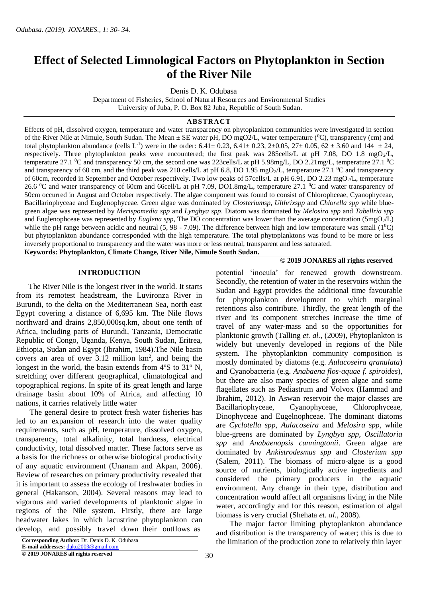# **Effect of Selected Limnological Factors on Phytoplankton in Section of the River Nile**

Denis D. K. Odubasa

Department of Fisheries, School of Natural Resources and Environmental Studies University of Juba, P. O. Box 82 Juba, Republic of South Sudan.

#### **ABSTRACT**

Effects of pH, dissolved oxygen, temperature and water transparency on phytoplankton communities were investigated in section of the River Nile at Nimule, South Sudan. The Mean  $\pm$  SE water pH, DO mgO2/L, water temperature ( ${}^{0}$ C), transparency (cm) and total phytoplankton abundance (cells L<sup>-1</sup>) were in the order:  $6.41 \pm 0.23$ ,  $6.41 \pm 0.23$ ,  $2 \pm 0.05$ ,  $27 \pm 0.05$ ,  $62 \pm 3.60$  and  $144 \pm 24$ , respectively. Three phytoplankton peaks were encountered; the first peak was 285cells/L at pH 7.08, DO 1.8 mgO<sub>2</sub>/L, temperature 27.1  $^{\circ}$ C and transparency 50 cm, the second one was 223cells/L at pH 5.98mg/L, DO 2.21mg/L, temperature 27.1  $^{\circ}$ C and transparency of 60 cm, and the third peak was 210 cells/L at pH 6.8, DO 1.95 mgO<sub>2</sub>/L, temperature 27.1 <sup>o</sup>C and transparency of 60cm, recorded in September and October respectively. Two low peaks of 57cells/L at pH 6.91, DO 2.23 mgO<sub>2</sub>/L, temperature 26.6  $\rm{^0C}$  and water transparency of 60cm and 66cell/L at pH 7.09, DO1.8mg/L, temperature 27.1  $\rm{^0C}$  and water transparency of 50cm occurred in August and October respectively. The algae component was found to consist of Chlorophceae, Cyanophyceae, Bacillariophyceae and Euglenophyceae. Green algae was dominated by *Closteriumsp*, *Ulthrixspp* and *Chlorella spp* while bluegreen algae was represented by *Merispomedia spp* and *Lyngbya spp*. Diatom was dominated by *Melosira spp* and *Tabellria spp* and Euglenophceae was represented by *Euglena spp*, The DO concentration was lower than the average concentration (5mgO<sub>2</sub>/L) while the pH range between acidic and neutral (5, 98 - 7.09). The difference between high and low temperature was small ( $1^0C$ ) but phytoplankton abundance corresponded with the high temperature. The total phytoplanktons was found to be more or less inversely proportional to transparency and the water was more or less neutral, transparent and less saturated.

**Keywords: Phytoplankton, Climate Change, River Nile, Nimule South Sudan.**

#### **INTRODUCTION**

 The River Nile is the longest river in the world. It starts from its remotest headstream, the Luvironza River in Burundi, to the delta on the Mediterranean Sea, north east Egypt covering a distance of 6,695 km. The Nile flows northward and drains 2,850,000sq.km, about one tenth of Africa, including parts of Burundi, Tanzania, Democratic Republic of Congo, Uganda, Kenya, South Sudan, Eritrea, Ethiopia, Sudan and Egypt (Ibrahim, 1984).The Nile basin covers an area of over  $3.12$  million  $km^2$ , and being the longest in the world, the basin extends from  $4^{\circ}S$  to  $31^{\circ}$  N, stretching over different geographical, climatological and topographical regions. In spite of its great length and large drainage basin about 10% of Africa, and affecting 10 nations, it carries relatively little water

 The general desire to protect fresh water fisheries has led to an expansion of research into the water quality requirements, such as pH, temperature, dissolved oxygen, transparency, total alkalinity, total hardness, electrical conductivity, total dissolved matter. These factors serve as a basis for the richness or otherwise biological productivity of any aquatic environment (Unanam and Akpan, 2006). Review of researches on primary productivity revealed that it is important to assess the ecology of freshwater bodies in general (Hakanson, 2004). Several reasons may lead to vigorous and varied developments of planktonic algae in regions of the Nile system. Firstly, there are large headwater lakes in which lacustrine phytoplankton can develop, and possibly travel down their outflows as

**E-mail addresses:** [duku2003@gmail.com](mailto:duku2003@gmail.com)

**© 2019 JONARES all rights reserved**

## **© 2019 JONARES all rights reserved**

potential 'inocula' for renewed growth downstream. Secondly, the retention of water in the reservoirs within the Sudan and Egypt provides the additional time favourable for phytoplankton development to which marginal retentions also contribute. Thirdly, the great length of the river and its component stretches increase the time of travel of any water-mass and so the opportunities for planktonic growth (Talling *et. al.,* (2009), Phytoplankton is widely but unevenly developed in regions of the Nile system. The phytoplankton community composition is mostly dominated by diatoms (e.g. *Aulacoseira granulata*) and Cyanobacteria (e.g. *Anabaena flos-aquae f. spiroides*), but there are also many species of green algae and some flagellates such as Pediastrum and Volvox (Hammad and Ibrahim, 2012). In Aswan reservoir the major classes are Bacillariophyceae, Cyanophyceae, Chlorophyceae, Dinophyceae and Eugelnophceae. The dominant diatoms are *Cyclotella spp*, *Aulacoseira* and *Melosira spp*, while blue-greens are dominated by *Lyngbya spp, Oscillatoria spp* and *Anabaenopsis cunningtonii*. Green algae are dominated by *Ankistrodesmus spp* and *Closterium spp* (Salem, 2011). The biomass of micro-algae is a good source of nutrients, biologically active ingredients and considered the primary producers in the aquatic environment. Any change in their type, distribution and concentration would affect all organisms living in the Nile water, accordingly and for this reason, estimation of algal biomass is very crucial (Shehata *et. al.,* 2008).

 The major factor limiting phytoplankton abundance and distribution is the transparency of water; this is due to the limitation of the production zone to relatively thin layer

**Corresponding Author:** Dr. Denis D. K. Odubasa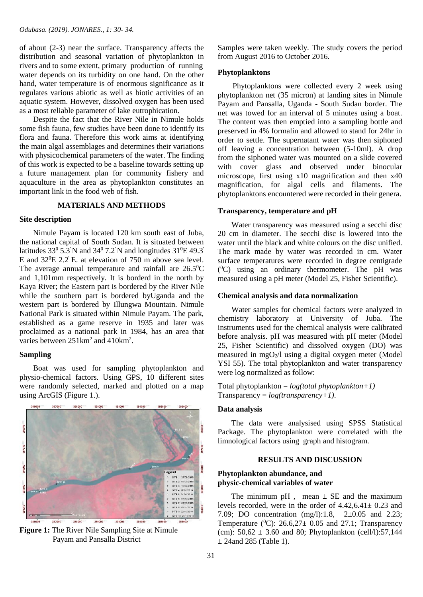of about (2-3) near the surface. Transparency affects the distribution and seasonal variation of phytoplankton in rivers and to some extent, primary production of running water depends on its turbidity on one hand. On the other hand, water temperature is of enormous significance as it regulates various abiotic as well as biotic activities of an aquatic system. However, dissolved oxygen has been used as a most reliable parameter of lake eutrophication.

 Despite the fact that the River Nile in Nimule holds some fish fauna, few studies have been done to identify its flora and fauna. Therefore this work aims at identifying the main algal assemblages and determines their variations with physicochemical parameters of the water. The finding of this work is expected to be a baseline towards setting up a future management plan for community fishery and aquaculture in the area as phytoplankton constitutes an important link in the food web of fish.

#### **MATERIALS AND METHODS**

#### **Site description**

 Nimule Payam is located 120 km south east of Juba, the national capital of South Sudan. It is situated between latitudes  $33^{\circ}$  5.3' N and  $34^{\circ}$  7.2' N and longitudes  $31^{\circ}$ E 49.3' E and  $32^{\circ}E$  2.2 E. at elevation of 750 m above sea level. The average annual temperature and rainfall are  $26.5^{\circ}$ C and 1,101mm respectively. It is borderd in the north by Kaya River; the Eastern part is bordered by the River Nile while the southern part is bordered byUganda and the western part is bordered by Illungwa Mountain. Nimule National Park is situated within Nimule Payam. The park, established as a game reserve in 1935 and later was proclaimed as a national park in 1984, has an area that varies between  $251 \text{km}^2$  and  $410 \text{km}^2$ .

# **Sampling**

 Boat was used for sampling phytoplankton and physio-chemical factors. Using GPS, 10 different sites were randomly selected, marked and plotted on a map using ArcGIS (Figure 1.).



**Figure 1:** The River Nile Sampling Site at Nimule Payam and Pansalla District

Samples were taken weekly. The study covers the period from August 2016 to October 2016.

#### **Phytoplanktons**

 Phytoplanktons were collected every 2 week using phytoplankton net (35 micron) at landing sites in Nimule Payam and Pansalla, Uganda - South Sudan border. The net was towed for an interval of 5 minutes using a boat. The content was then emptied into a sampling bottle and preserved in 4% formalin and allowed to stand for 24hr in order to settle. The supernatant water was then siphoned off leaving a concentration between (5-10ml). A drop from the siphoned water was mounted on a slide covered with cover glass and observed under binocular microscope, first using x10 magnification and then x40 magnification, for algal cells and filaments. The phytoplanktons encountered were recorded in their genera.

#### **Transparency, temperature and pH**

 Water transparency was measured using a secchi disc 20 cm in diameter. The secchi disc is lowered into the water until the black and white colours on the disc unified. The mark made by water was recorded in cm. Water surface temperatures were recorded in degree centigrade ( <sup>0</sup>C) using an ordinary thermometer. The pH was measured using a pH meter (Model 25, Fisher Scientific).

#### **Chemical analysis and data normalization**

 Water samples for chemical factors were analyzed in chemistry laboratory at University of Juba. The instruments used for the chemical analysis were calibrated before analysis. pH was measured with pH meter (Model 25, Fisher Scientific) and dissolved oxygen (DO) was measured in mgO2/l using a digital oxygen meter (Model YSI 55). The total phytoplankton and water transparency were log normalized as follow:

Total phytoplankton = *log(total phytoplankton+1)* Transparency = *log(transparency+1)*.

#### **Data analysis**

 The data were analysised using SPSS Statistical Package. The phytoplankton were correlated with the limnological factors using graph and histogram.

#### **RESULTS AND DISCUSSION**

# **Phytoplankton abundance, and physic-chemical variables of water**

The minimum  $pH$ , mean  $\pm$  SE and the maximum levels recorded, were in the order of 4.42,6.41± 0.23 and 7.09; DO concentration (mg/l):1.8, 2±0.05 and 2.23; Temperature ( $^0$ C): 26.6,27 $\pm$  0.05 and 27.1; Transparency (cm):  $50,62 \pm 3.60$  and 80; Phytoplankton (cell/l):57,144  $\pm$  24and 285 (Table 1).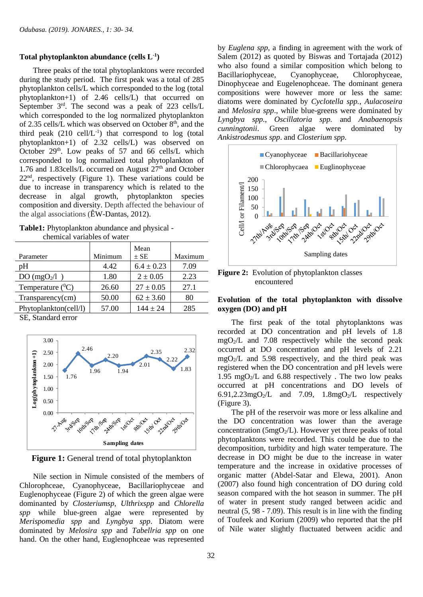## **Total phytoplankton abundance (cells L-1 )**

 Three peaks of the total phytoplanktons were recorded during the study period. The first peak was a total of 285 phytoplankton cells/L which corresponded to the log (total  $phytoplankton+1)$  of 2.46 cells $\overline{L}$ ) that occurred on September  $3<sup>rd</sup>$ . The second was a peak of 223 cells/L which corresponded to the log normalized phytoplankton of 2.35 cells/L which was observed on October  $8<sup>th</sup>$ , and the third peak  $(210 \text{ cell/L}^{-1})$  that correspond to log (total phytoplankton+1) of 2.32 cells/L) was observed on October  $29<sup>th</sup>$ . Low peaks of 57 and 66 cells/L which corresponded to log normalized total phytoplankton of 1.76 and 1.83cells/L occurred on August  $27<sup>th</sup>$  and October 22nd , respectively (Figure 1). These variations could be due to increase in transparency which is related to the decrease in algal growth, phytoplankton species composition and diversity. Depth affected the behaviour of the algal associations (ÊW-Dantas, 2012).

| <b>Table1:</b> Phytoplankton abundance and physical - |
|-------------------------------------------------------|
| chemical variables of water                           |

|                                                                                |         | Mean           |         |
|--------------------------------------------------------------------------------|---------|----------------|---------|
| Parameter                                                                      | Minimum | $\pm$ SE       | Maximum |
| pΗ                                                                             | 4.42    | $6.4 \pm 0.23$ | 7.09    |
| DO(mgO <sub>2</sub> /l)                                                        | 1.80    | $2 \pm 0.05$   | 2.23    |
| Temperature $(^0C)$                                                            | 26.60   | $27 \pm 0.05$  | 27.1    |
| Transparency(cm)                                                               | 50.00   | $62 \pm 3.60$  | 80      |
| Phytoplankton(cell/l)                                                          | 57.00   | $144 \pm 24$   | 285     |
| $\alpha$ $\alpha$ $\beta$ $\beta$ $\gamma$ $\gamma$ $\gamma$ $\gamma$ $\gamma$ |         |                |         |

SE, Standard error



**Figure 1:** General trend of total phytoplankton

 Nile section in Nimule consisted of the members of Chlorophceae, Cyanophyceae, Bacillariophyceae and Euglenophyceae (Figure 2) of which the green algae were dominanted by *Closteriumsp*, *Ulthrixspp* and *Chlorella spp* while blue-green algae were represented by *Merispomedia spp* and *Lyngbya spp*. Diatom were dominated by *Melosira spp* and *Tabellria spp* on one hand. On the other hand, Euglenophceae was represented

by *Euglena spp*, a finding in agreement with the work of Salem (2012) as quoted by Biswas and Tortajada (2012) who also found a similar composition which belong to Bacillariophyceae, Cyanophyceae, Chlorophyceae, Dinophyceae and Eugelenophceae. The dominant genera compositions were however more or less the same: diatoms were dominated by *Cyclotella spp.*, *Aulacoseira* and *Melosira spp*., while blue-greens were dominated by *Lyngbya spp.*, *Oscillatoria spp.* and *Anabaenopsis cunningtonii*. Green algae were dominated by *Ankistrodesmus spp*. and *Closterium spp.*



**Figure 2:** Evolution of phytoplankton classes encountered

# **Evolution of the total phytoplankton with dissolve oxygen (DO) and pH**

 The first peak of the total phytoplanktons was recorded at DO concentration and pH levels of 1.8  $mgO<sub>2</sub>/L$  and 7.08 respectively while the second peak occurred at DO concentration and pH levels of 2.21  $mgO<sub>2</sub>/L$  and 5.98 respectively, and the third peak was registered when the DO concentration and pH levels were 1.95 mgO<sub>2</sub>/L and 6.88 respectively. The two low peaks occurred at pH concentrations and DO levels of 6.91,2.23mgO<sub>2</sub>/L and 7.09, 1.8mgO<sub>2</sub>/L respectively (Figure 3).

 The pH of the reservoir was more or less alkaline and the DO concentration was lower than the average concentration ( $5mgO<sub>2</sub>/L$ ). However yet three peaks of total phytoplanktons were recorded. This could be due to the decomposition, turbidity and high water temperature. The decrease in DO might be due to the increase in water temperature and the increase in oxidative processes of organic matter (Abdel-Satar and Elewa, 2001). Anon (2007) also found high concentration of DO during cold season compared with the hot season in summer. The pH of water in present study ranged between acidic and neutral (5, 98 - 7.09). This result is in line with the finding of Toufeek and Korium (2009) who reported that the pH of Nile water slightly fluctuated between acidic and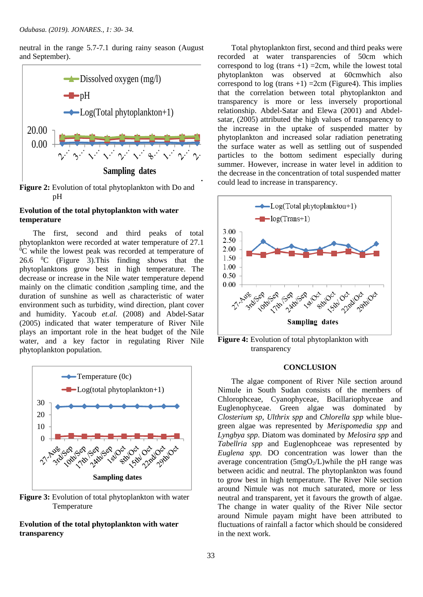neutral in the range 5.7-7.1 during rainy season (August and September).



Figure 2: Evolution of total phytoplankton with Do and pH

# **Evolution of the total phytoplankton with water temperature**

 The first, second and third peaks of total phytoplankton were recorded at water temperature of 27.1  ${}^{0}C$  while the lowest peak was recorded at temperature of 26.6  $^{\circ}$ C (Figure 3). This finding shows that the phytoplanktons grow best in high temperature. The decrease or increase in the Nile water temperature depend mainly on the climatic condition ,sampling time, and the duration of sunshine as well as characteristic of water environment such as turbidity, wind direction, plant cover and humidity. Yacoub *et.al.* (2008) and Abdel-Satar (2005) indicated that water temperature of River Nile plays an important role in the heat budget of the Nile water, and a key factor in regulating River Nile phytoplankton population.



**Figure 3:** Evolution of total phytoplankton with water Temperature

# **Evolution of the total phytoplankton with water transparency**

 Total phytoplankton first, second and third peaks were recorded at water transparencies of 50cm which correspond to log (trans  $+1$ ) =2cm, while the lowest total phytoplankton was observed at 60cmwhich also correspond to  $log (trans +1) =2cm$  (Figure4). This implies that the correlation between total phytoplankton and transparency is more or less inversely proportional relationship. Abdel-Satar and Elewa (2001) and Abdelsatar, (2005) attributed the high values of transparency to the increase in the uptake of suspended matter by phytoplankton and increased solar radiation penetrating the surface water as well as settling out of suspended particles to the bottom sediment especially during summer. However, increase in water level in addition to the decrease in the concentration of total suspended matter could lead to increase in transparency.



**Figure 4:** Evolution of total phytoplankton with transparency

#### **CONCLUSION**

 The algae component of River Nile section around Nimule in South Sudan consists of the members of Chlorophceae, Cyanophyceae, Bacillariophyceae and Euglenophyceae. Green algae was dominated by *Closterium sp*, *Ulthrix spp* and *Chlorella spp* while bluegreen algae was represented by *Merispomedia spp* and *Lyngbya spp*. Diatom was dominated by *Melosira spp* and *Tabellria spp* and Euglenophceae was represented by *Euglena spp.* DO concentration was lower than the average concentration  $(5mgO<sub>2</sub>/L)$ while the pH range was between acidic and neutral. The phytoplankton was found to grow best in high temperature. The River Nile section around Nimule was not much saturated, more or less neutral and transparent, yet it favours the growth of algae. The change in water quality of the River Nile sector around Nimule payam might have been attributed to fluctuations of rainfall a factor which should be considered in the next work.